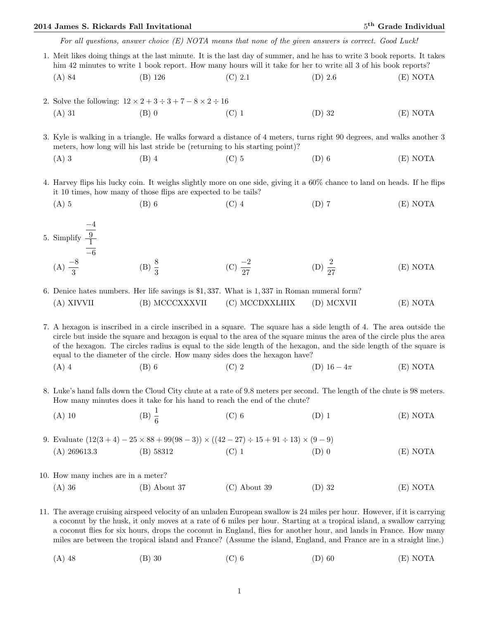## 2014 James S. Rickards Fall Invitational 5

For all questions, answer choice  $(E)$  NOTA means that none of the given answers is correct. Good Luck!

- 1. Meit likes doing things at the last minute. It is the last day of summer, and he has to write 3 book reports. It takes him 42 minutes to write 1 book report. How many hours will it take for her to write all 3 of his book reports? (A) 84 (B) 126 (C) 2.1 (D) 2.6 (E) NOTA
- 2. Solve the following:  $12 \times 2 + 3 \div 3 + 7 8 \times 2 \div 16$ (A) 31 (B) 0 (C) 1 (D) 32 (E) NOTA

3. Kyle is walking in a triangle. He walks forward a distance of 4 meters, turns right 90 degrees, and walks another 3 meters, how long will his last stride be (returning to his starting point)?

(A) 3 (B) 4 (C) 5 (D) 6 (E) NOTA

4. Harvey flips his lucky coin. It weighs slightly more on one side, giving it a 60% chance to land on heads. If he flips it 10 times, how many of those flips are expected to be tails?

- (A) 5 (B) 6 (C) 4 (D) 7 (E) NOTA
- 5. Simplify −4 9 1 −6  $(A) \frac{-8}{3}$ (B)  $\frac{8}{3}$ (C)  $\frac{-2}{27}$ (D)  $\frac{2}{27}$ (E) NOTA
- 6. Denice hates numbers. Her life savings is \$1, 337. What is 1, 337 in Roman numeral form? (A) XIVVII (B) MCCCXXXVII (C) MCCDXXLIIIX (D) MCXVII (E) NOTA

7. A hexagon is inscribed in a circle inscribed in a square. The square has a side length of 4. The area outside the circle but inside the square and hexagon is equal to the area of the square minus the area of the circle plus the area of the hexagon. The circles radius is equal to the side length of the hexagon, and the side length of the square is equal to the diameter of the circle. How many sides does the hexagon have?

- (A) 4 (B) 6 (C) 2 (D)  $16-4\pi$  (E) NOTA
- 8. Luke's hand falls down the Cloud City chute at a rate of 9.8 meters per second. The length of the chute is 98 meters. How many minutes does it take for his hand to reach the end of the chute?
	- (A) 10 (B)  $\frac{1}{6}$ (C) 6 (D) 1 (E) NOTA
- 9. Evaluate  $(12(3+4) 25 \times 88 + 99(98-3)) \times ((42-27) \div 15 + 91 \div 13) \times (9-9)$ (A)  $269613.3$  (B)  $58312$  (C) 1 (D) 0 (E) NOTA
- 10. How many inches are in a meter? (A) 36 (B) About 37 (C) About 39 (D) 32 (E) NOTA

11. The average cruising airspeed velocity of an unladen European swallow is 24 miles per hour. However, if it is carrying a coconut by the husk, it only moves at a rate of 6 miles per hour. Starting at a tropical island, a swallow carrying a coconut flies for six hours, drops the coconut in England, flies for another hour, and lands in France. How many miles are between the tropical island and France? (Assume the island, England, and France are in a straight line.)

(A) 48 (B) 30 (C) 6 (D) 60 (E) NOTA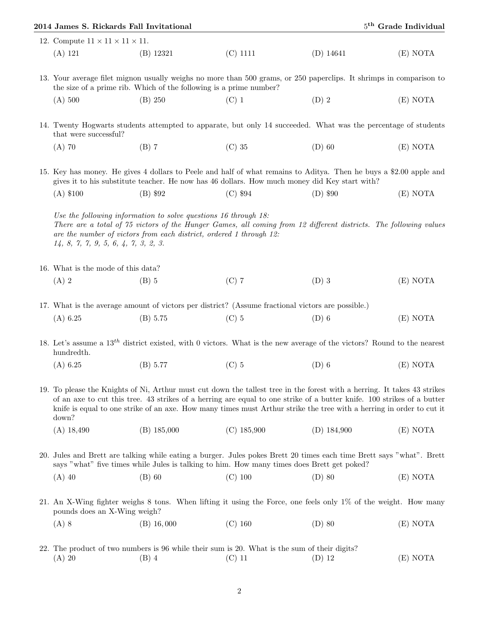|                                                                                                                                                                                                                                                                                                                                                                                     | 2014 James S. Rickards Fall Invitational                                                                | 5 <sup>th</sup> Grade Individual |               |          |  |  |
|-------------------------------------------------------------------------------------------------------------------------------------------------------------------------------------------------------------------------------------------------------------------------------------------------------------------------------------------------------------------------------------|---------------------------------------------------------------------------------------------------------|----------------------------------|---------------|----------|--|--|
| 12. Compute $11 \times 11 \times 11 \times 11$ .                                                                                                                                                                                                                                                                                                                                    |                                                                                                         |                                  |               |          |  |  |
| (A) 121                                                                                                                                                                                                                                                                                                                                                                             | $(B)$ 12321                                                                                             | $(C)$ 1111                       | $(D)$ 14641   | (E) NOTA |  |  |
| 13. Your average filet mignon usually weighs no more than 500 grams, or 250 paperclips. It shrimps in comparison to<br>the size of a prime rib. Which of the following is a prime number?                                                                                                                                                                                           |                                                                                                         |                                  |               |          |  |  |
| (A) 500                                                                                                                                                                                                                                                                                                                                                                             | (B) 250                                                                                                 | $(C)$ 1                          | $(D)$ 2       | (E) NOTA |  |  |
| 14. Twenty Hogwarts students attempted to apparate, but only 14 succeeded. What was the percentage of students<br>that were successful?                                                                                                                                                                                                                                             |                                                                                                         |                                  |               |          |  |  |
| $(A)$ 70                                                                                                                                                                                                                                                                                                                                                                            | $(B)$ 7                                                                                                 | $(C)$ 35                         | $(D)$ 60      | (E) NOTA |  |  |
| 15. Key has money. He gives 4 dollars to Peele and half of what remains to Aditya. Then he buys a \$2.00 apple and<br>gives it to his substitute teacher. He now has 46 dollars. How much money did Key start with?                                                                                                                                                                 |                                                                                                         |                                  |               |          |  |  |
| $(A)$ \$100                                                                                                                                                                                                                                                                                                                                                                         | (B) \$92                                                                                                | $(C)$ \$94                       | $(D)$ \$90    | (E) NOTA |  |  |
| Use the following information to solve questions 16 through 18:<br>There are a total of 75 victors of the Hunger Games, all coming from 12 different districts. The following values<br>are the number of victors from each district, ordered 1 through 12:<br>14, 8, 7, 7, 9, 5, 6, 4, 7, 3, 2, 3.                                                                                 |                                                                                                         |                                  |               |          |  |  |
| 16. What is the mode of this data?                                                                                                                                                                                                                                                                                                                                                  |                                                                                                         |                                  |               |          |  |  |
| $(A)$ 2                                                                                                                                                                                                                                                                                                                                                                             | $(B)$ 5                                                                                                 | $(C)$ 7                          | $(D)$ 3       | (E) NOTA |  |  |
|                                                                                                                                                                                                                                                                                                                                                                                     | 17. What is the average amount of victors per district? (Assume fractional victors are possible.)       |                                  |               |          |  |  |
| (A) 6.25                                                                                                                                                                                                                                                                                                                                                                            | (B) 5.75                                                                                                | $(C)$ 5                          | $(D)$ 6       | (E) NOTA |  |  |
| 18. Let's assume a $13th$ district existed, with 0 victors. What is the new average of the victors? Round to the nearest<br>hundredth.                                                                                                                                                                                                                                              |                                                                                                         |                                  |               |          |  |  |
| (A) 6.25                                                                                                                                                                                                                                                                                                                                                                            | (B) 5.77 (C) 5                                                                                          |                                  | $(D)$ 6       | (E) NOTA |  |  |
| 19. To please the Knights of Ni, Arthur must cut down the tallest tree in the forest with a herring. It takes 43 strikes<br>of an axe to cut this tree. 43 strikes of a herring are equal to one strike of a butter knife. 100 strikes of a butter<br>knife is equal to one strike of an axe. How many times must Arthur strike the tree with a herring in order to cut it<br>down? |                                                                                                         |                                  |               |          |  |  |
| $(A)$ 18,490                                                                                                                                                                                                                                                                                                                                                                        | $(B)$ 185,000                                                                                           | $(C)$ 185,900                    | $(D)$ 184,900 | (E) NOTA |  |  |
| 20. Jules and Brett are talking while eating a burger. Jules pokes Brett 20 times each time Brett says "what". Brett<br>says "what" five times while Jules is talking to him. How many times does Brett get poked?                                                                                                                                                                  |                                                                                                         |                                  |               |          |  |  |
| $(A)$ 40                                                                                                                                                                                                                                                                                                                                                                            | $(B)$ 60                                                                                                | $(C)$ 100                        | $(D)$ 80      | (E) NOTA |  |  |
| 21. An X-Wing fighter weighs 8 tons. When lifting it using the Force, one feels only 1% of the weight. How many<br>pounds does an X-Wing weigh?                                                                                                                                                                                                                                     |                                                                                                         |                                  |               |          |  |  |
| $(A)$ 8                                                                                                                                                                                                                                                                                                                                                                             | $(B)$ 16,000                                                                                            | $(C)$ 160                        | $(D)$ 80      | (E) NOTA |  |  |
| $(A)$ 20                                                                                                                                                                                                                                                                                                                                                                            | 22. The product of two numbers is 96 while their sum is 20. What is the sum of their digits?<br>$(B)$ 4 | $(C)$ 11                         | $(D)$ 12      | (E) NOTA |  |  |